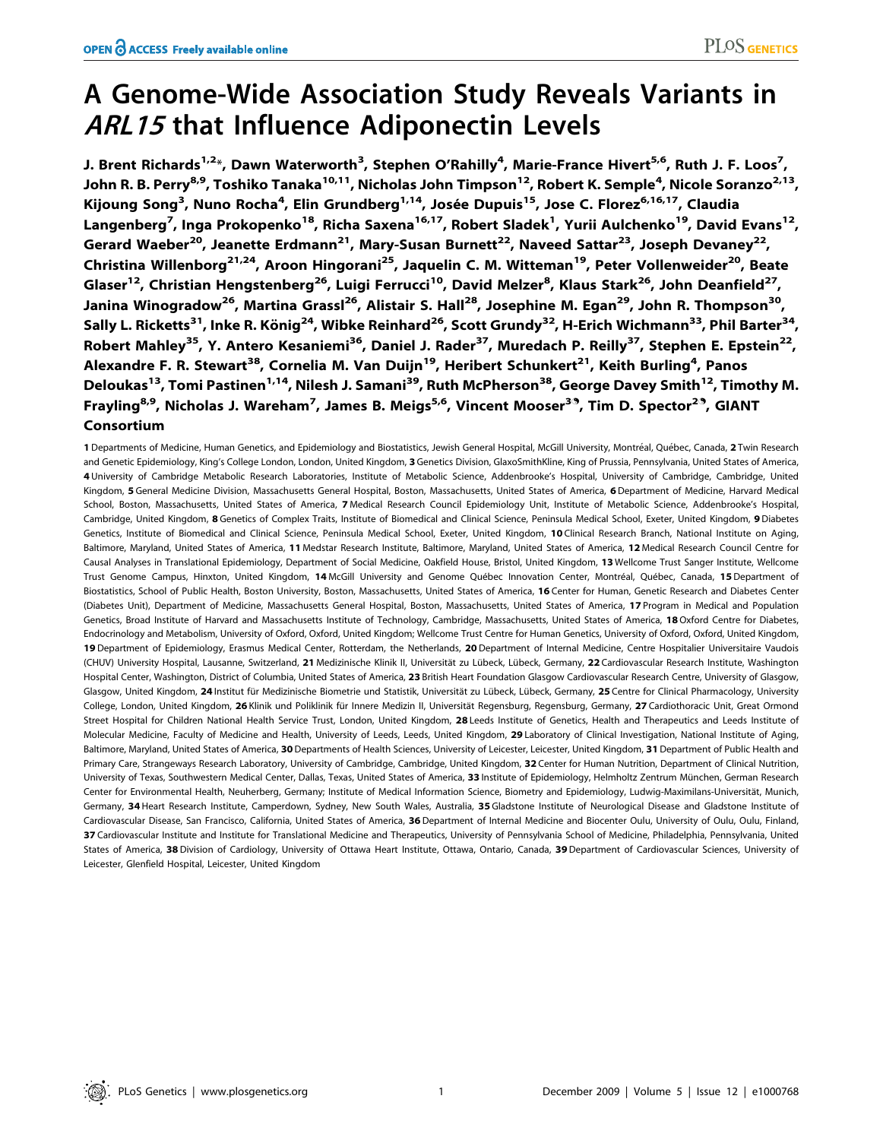# A Genome-Wide Association Study Reveals Variants in ARL15 that Influence Adiponectin Levels

J. Brent Richards<sup>1,2</sup>\*, Dawn Waterworth<sup>3</sup>, Stephen O'Rahilly<sup>4</sup>, Marie-France Hivert<sup>5,6</sup>, Ruth J. F. Loos<sup>7</sup>, John R. B. Perry<sup>8,9</sup>, Toshiko Tanaka<sup>10,11</sup>, Nicholas John Timpson<sup>12</sup>, Robert K. Semple<sup>4</sup>, Nicole Soranzo<sup>2,13</sup>, Kijoung Song<sup>3</sup>, Nuno Rocha<sup>4</sup>, Elin Grundberg<sup>1,14</sup>, Josée Dupuis<sup>15</sup>, Jose C. Florez<sup>6,16,17</sup>, Claudia Langenberg<sup>7</sup>, Inga Prokopenko<sup>18</sup>, Richa Saxena<sup>16,17</sup>, Robert Sladek<sup>1</sup>, Yurii Aulchenko<sup>19</sup>, David Evans<sup>12</sup>, Gerard Waeber<sup>20</sup>, Jeanette Erdmann<sup>21</sup>, Mary-Susan Burnett<sup>22</sup>, Naveed Sattar<sup>23</sup>, Joseph Devaney<sup>22</sup>, Christina Willenborg<sup>21,24</sup>, Aroon Hingorani<sup>25</sup>, Jaquelin C. M. Witteman<sup>19</sup>, Peter Vollenweider<sup>20</sup>, Beate Glaser<sup>12</sup>, Christian Hengstenberg<sup>26</sup>, Luigi Ferrucci<sup>10</sup>, David Melzer<sup>8</sup>, Klaus Stark<sup>26</sup>, John Deanfield<sup>27</sup>, Janina Winogradow<sup>26</sup>, Martina Grassl<sup>26</sup>, Alistair S. Hall<sup>28</sup>, Josephine M. Egan<sup>29</sup>, John R. Thompson<sup>30</sup>, Sally L. Ricketts<sup>31</sup>, Inke R. König<sup>24</sup>, Wibke Reinhard<sup>26</sup>, Scott Grundy<sup>32</sup>, H-Erich Wichmann<sup>33</sup>, Phil Barter<sup>34</sup>, Robert Mahley<sup>35</sup>, Y. Antero Kesaniemi<sup>36</sup>, Daniel J. Rader<sup>37</sup>, Muredach P. Reilly<sup>37</sup>, Stephen E. Epstein<sup>22</sup>, Alexandre F. R. Stewart<sup>38</sup>, Cornelia M. Van Duijn<sup>19</sup>, Heribert Schunkert<sup>21</sup>, Keith Burling<sup>4</sup>, Panos Deloukas<sup>13</sup>, Tomi Pastinen<sup>1,14</sup>, Nilesh J. Samani<sup>39</sup>, Ruth McPherson<sup>38</sup>, George Davey Smith<sup>12</sup>, Timothy M. Frayling<sup>8,9</sup>, Nicholas J. Wareham<sup>7</sup>, James B. Meigs<sup>5,6</sup>, Vincent Mooser<sup>39</sup>, Tim D. Spector<sup>29</sup>, GIANT Consortium

1 Departments of Medicine, Human Genetics, and Epidemiology and Biostatistics, Jewish General Hospital, McGill University, Montréal, Québec, Canada, 2 Twin Research and Genetic Epidemiology, King's College London, London, United Kingdom, 3 Genetics Division, GlaxoSmithKline, King of Prussia, Pennsylvania, United States of America, 4 University of Cambridge Metabolic Research Laboratories, Institute of Metabolic Science, Addenbrooke's Hospital, University of Cambridge, Cambridge, United Kingdom, 5 General Medicine Division, Massachusetts General Hospital, Boston, Massachusetts, United States of America, 6 Department of Medicine, Harvard Medical School, Boston, Massachusetts, United States of America, 7 Medical Research Council Epidemiology Unit, Institute of Metabolic Science, Addenbrooke's Hospital, Cambridge, United Kingdom, 8 Genetics of Complex Traits, Institute of Biomedical and Clinical Science, Peninsula Medical School, Exeter, United Kingdom, 9 Diabetes Genetics, Institute of Biomedical and Clinical Science, Peninsula Medical School, Exeter, United Kingdom, 10 Clinical Research Branch, National Institute on Aging, Baltimore, Maryland, United States of America, 11 Medstar Research Institute, Baltimore, Maryland, United States of America, 12 Medical Research Council Centre for Causal Analyses in Translational Epidemiology, Department of Social Medicine, Oakfield House, Bristol, United Kingdom, 13 Wellcome Trust Sanger Institute, Wellcome Trust Genome Campus, Hinxton, United Kingdom, 14 McGill University and Genome Québec Innovation Center, Montréal, Québec, Canada, 15 Department of Biostatistics, School of Public Health, Boston University, Boston, Massachusetts, United States of America, 16 Center for Human, Genetic Research and Diabetes Center (Diabetes Unit), Department of Medicine, Massachusetts General Hospital, Boston, Massachusetts, United States of America, 17 Program in Medical and Population Genetics, Broad Institute of Harvard and Massachusetts Institute of Technology, Cambridge, Massachusetts, United States of America, 18Oxford Centre for Diabetes, Endocrinology and Metabolism, University of Oxford, Oxford, United Kingdom; Wellcome Trust Centre for Human Genetics, University of Oxford, Oxford, United Kingdom, 19 Department of Epidemiology, Erasmus Medical Center, Rotterdam, the Netherlands, 20 Department of Internal Medicine, Centre Hospitalier Universitaire Vaudois (CHUV) University Hospital, Lausanne, Switzerland, 21 Medizinische Klinik II, Universität zu Lübeck, Lübeck, Germany, 22 Cardiovascular Research Institute, Washington Hospital Center, Washington, District of Columbia, United States of America, 23 British Heart Foundation Glasgow Cardiovascular Research Centre, University of Glasgow, Glasgow, United Kingdom, 24 Institut für Medizinische Biometrie und Statistik, Universität zu Lübeck, Lübeck, Germany, 25 Centre for Clinical Pharmacology, University College, London, United Kingdom, 26 Klinik und Poliklinik für Innere Medizin II, Universität Regensburg, Regensburg, Germany, 27 Cardiothoracic Unit, Great Ormond Street Hospital for Children National Health Service Trust, London, United Kingdom, 28 Leeds Institute of Genetics, Health and Therapeutics and Leeds Institute of Molecular Medicine, Faculty of Medicine and Health, University of Leeds, Leeds, United Kingdom, 29 Laboratory of Clinical Investigation, National Institute of Aging, Baltimore, Maryland, United States of America, 30 Departments of Health Sciences, University of Leicester, Leicester, United Kingdom, 31 Department of Public Health and Primary Care, Strangeways Research Laboratory, University of Cambridge, Cambridge, United Kingdom, 32 Center for Human Nutrition, Department of Clinical Nutrition, University of Texas, Southwestern Medical Center, Dallas, Texas, United States of America, 33 Institute of Epidemiology, Helmholtz Zentrum München, German Research Center for Environmental Health, Neuherberg, Germany; Institute of Medical Information Science, Biometry and Epidemiology, Ludwig-Maximilans-Universität, Munich, Germany, 34 Heart Research Institute, Camperdown, Sydney, New South Wales, Australia, 35 Gladstone Institute of Neurological Disease and Gladstone Institute of Cardiovascular Disease, San Francisco, California, United States of America, 36 Department of Internal Medicine and Biocenter Oulu, University of Oulu, Oulu, Finland, 37 Cardiovascular Institute and Institute for Translational Medicine and Therapeutics, University of Pennsylvania School of Medicine, Philadelphia, Pennsylvania, United States of America, 38 Division of Cardiology, University of Ottawa Heart Institute, Ottawa, Ontario, Canada, 39 Department of Cardiovascular Sciences, University of Leicester, Glenfield Hospital, Leicester, United Kingdom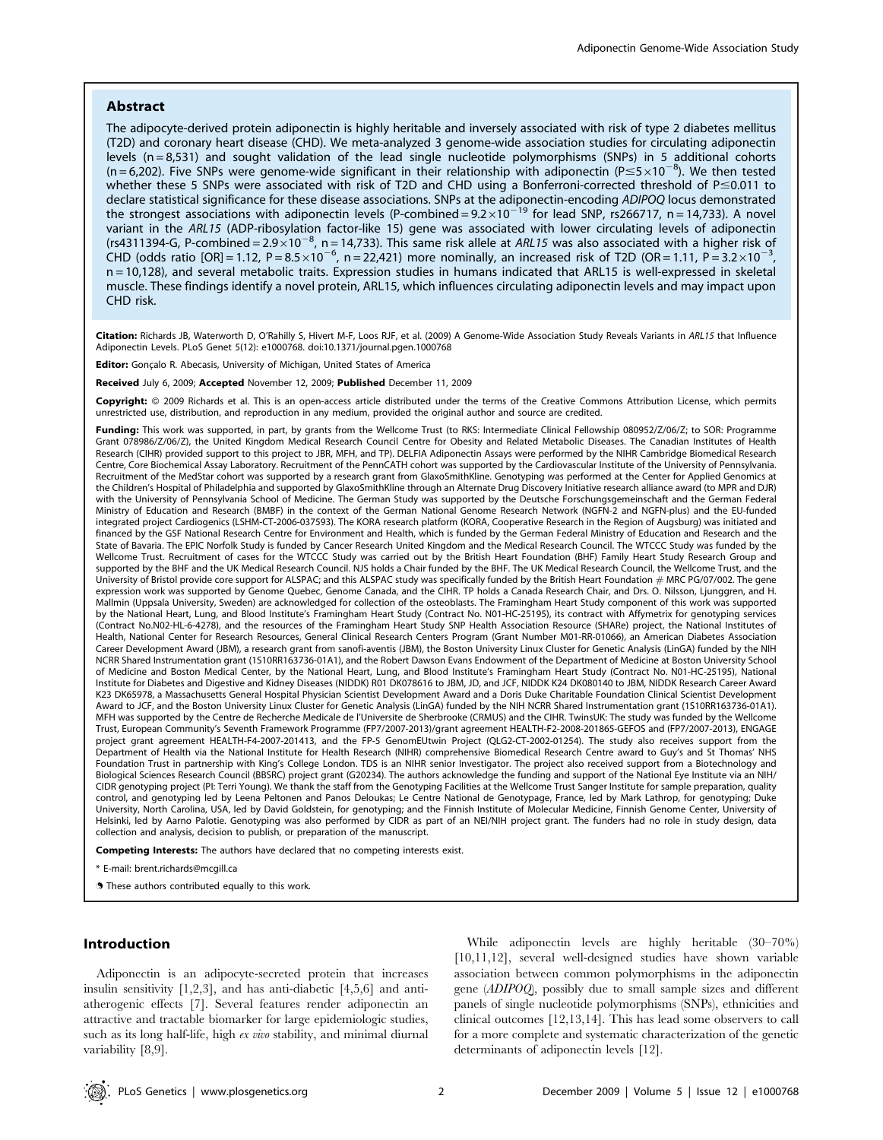# Abstract

The adipocyte-derived protein adiponectin is highly heritable and inversely associated with risk of type 2 diabetes mellitus (T2D) and coronary heart disease (CHD). We meta-analyzed 3 genome-wide association studies for circulating adiponectin levels (n = 8,531) and sought validation of the lead single nucleotide polymorphisms (SNPs) in 5 additional cohorts (n = 6,202). Five SNPs were genome-wide significant in their relationship with adiponectin (P  $\leq$  5  $\times$  10<sup>-8</sup>). We then tested whether these 5 SNPs were associated with risk of T2D and CHD using a Bonferroni-corrected threshold of  $P \le 0.011$  to declare statistical significance for these disease associations. SNPs at the adiponectin-encoding ADIPOQ locus demonstrated the strongest associations with adiponectin levels (P-combined =  $9.2 \times 10^{-19}$  for lead SNP, rs266717, n = 14,733). A novel variant in the ARL15 (ADP-ribosylation factor-like 15) gene was associated with lower circulating levels of adiponectin (rs4311394-G, P-combined =  $2.9 \times 10^{-8}$ , n = 14,733). This same risk allele at ARL15 was also associated with a higher risk of CHD (odds ratio [OR] = 1.12, P = 8.5 $\times$ 10<sup>-6</sup>, n = 22,421) more nominally, an increased risk of T2D (OR = 1.11, P = 3.2 $\times$ 10<sup>-3</sup> , n = 10,128), and several metabolic traits. Expression studies in humans indicated that ARL15 is well-expressed in skeletal muscle. These findings identify a novel protein, ARL15, which influences circulating adiponectin levels and may impact upon CHD risk.

Citation: Richards JB, Waterworth D, O'Rahilly S, Hivert M-F, Loos RJF, et al. (2009) A Genome-Wide Association Study Reveals Variants in ARL15 that Influence Adiponectin Levels. PLoS Genet 5(12): e1000768. doi:10.1371/journal.pgen.1000768

Editor: Goncalo R. Abecasis, University of Michigan, United States of America

Received July 6, 2009; Accepted November 12, 2009; Published December 11, 2009

Copyright: @ 2009 Richards et al. This is an open-access article distributed under the terms of the Creative Commons Attribution License, which permits unrestricted use, distribution, and reproduction in any medium, provided the original author and source are credited.

Funding: This work was supported, in part, by grants from the Wellcome Trust (to RKS: Intermediate Clinical Fellowship 080952/Z/06/Z; to SOR: Programme Grant 078986/Z/06/Z), the United Kingdom Medical Research Council Centre for Obesity and Related Metabolic Diseases. The Canadian Institutes of Health Research (CIHR) provided support to this project to JBR, MFH, and TP). DELFIA Adiponectin Assays were performed by the NIHR Cambridge Biomedical Research Centre, Core Biochemical Assay Laboratory. Recruitment of the PennCATH cohort was supported by the Cardiovascular Institute of the University of Pennsylvania. Recruitment of the MedStar cohort was supported by a research grant from GlaxoSmithKline. Genotyping was performed at the Center for Applied Genomics at the Children's Hospital of Philadelphia and supported by GlaxoSmithKline through an Alternate Drug Discovery Initiative research alliance award (to MPR and DJR) with the University of Pennsylvania School of Medicine. The German Study was supported by the Deutsche Forschungsgemeinschaft and the German Federal Ministry of Education and Research (BMBF) in the context of the German National Genome Research Network (NGFN-2 and NGFN-plus) and the EU-funded integrated project Cardiogenics (LSHM-CT-2006-037593). The KORA research platform (KORA, Cooperative Research in the Region of Augsburg) was initiated and financed by the GSF National Research Centre for Environment and Health, which is funded by the German Federal Ministry of Education and Research and the State of Bavaria. The EPIC Norfolk Study is funded by Cancer Research United Kingdom and the Medical Research Council. The WTCCC Study was funded by the Wellcome Trust. Recruitment of cases for the WTCCC Study was carried out by the British Heart Foundation (BHF) Family Heart Study Research Group and supported by the BHF and the UK Medical Research Council. NJS holds a Chair funded by the BHF. The UK Medical Research Council, the Wellcome Trust, and the University of Bristol provide core support for ALSPAC; and this ALSPAC study was specifically funded by the British Heart Foundation *#* MRC PG/07/002. The gene expression work was supported by Genome Quebec, Genome Canada, and the CIHR. TP holds a Canada Research Chair, and Drs. O. Nilsson, Ljunggren, and H. Mallmin (Uppsala University, Sweden) are acknowledged for collection of the osteoblasts. The Framingham Heart Study component of this work was supported by the National Heart, Lung, and Blood Institute's Framingham Heart Study (Contract No. N01-HC-25195), its contract with Affymetrix for genotyping services (Contract No.N02-HL-6-4278), and the resources of the Framingham Heart Study SNP Health Association Resource (SHARe) project, the National Institutes of Health, National Center for Research Resources, General Clinical Research Centers Program (Grant Number M01-RR-01066), an American Diabetes Association Career Development Award (JBM), a research grant from sanofi-aventis (JBM), the Boston University Linux Cluster for Genetic Analysis (LinGA) funded by the NIH NCRR Shared Instrumentation grant (1S10RR163736-01A1), and the Robert Dawson Evans Endowment of the Department of Medicine at Boston University School of Medicine and Boston Medical Center, by the National Heart, Lung, and Blood Institute's Framingham Heart Study (Contract No. N01-HC-25195), National Institute for Diabetes and Digestive and Kidney Diseases (NIDDK) R01 DK078616 to JBM, JD, and JCF, NIDDK K24 DK080140 to JBM, NIDDK Research Career Award K23 DK65978, a Massachusetts General Hospital Physician Scientist Development Award and a Doris Duke Charitable Foundation Clinical Scientist Development Award to JCF, and the Boston University Linux Cluster for Genetic Analysis (LinGA) funded by the NIH NCRR Shared Instrumentation grant (1S10RR163736-01A1). MFH was supported by the Centre de Recherche Medicale de l'Universite de Sherbrooke (CRMUS) and the CIHR. TwinsUK: The study was funded by the Wellcome Trust, European Community's Seventh Framework Programme (FP7/2007-2013)/grant agreement HEALTH-F2-2008-201865-GEFOS and (FP7/2007-2013), ENGAGE project grant agreement HEALTH-F4-2007-201413, and the FP-5 GenomEUtwin Project (QLG2-CT-2002-01254). The study also receives support from the Department of Health via the National Institute for Health Research (NIHR) comprehensive Biomedical Research Centre award to Guy's and St Thomas' NHS Foundation Trust in partnership with King's College London. TDS is an NIHR senior Investigator. The project also received support from a Biotechnology and Biological Sciences Research Council (BBSRC) project grant (G20234). The authors acknowledge the funding and support of the National Eye Institute via an NIH/ CIDR genotyping project (PI: Terri Young). We thank the staff from the Genotyping Facilities at the Wellcome Trust Sanger Institute for sample preparation, quality control, and genotyping led by Leena Peltonen and Panos Deloukas; Le Centre National de Genotypage, France, led by Mark Lathrop, for genotyping; Duke University, North Carolina, USA, led by David Goldstein, for genotyping; and the Finnish Institute of Molecular Medicine, Finnish Genome Center, University of Helsinki, led by Aarno Palotie. Genotyping was also performed by CIDR as part of an NEI/NIH project grant. The funders had no role in study design, data collection and analysis, decision to publish, or preparation of the manuscript.

Competing Interests: The authors have declared that no competing interests exist.

\* E-mail: brent.richards@mcgill.ca

**.** These authors contributed equally to this work.

## Introduction

Adiponectin is an adipocyte-secreted protein that increases insulin sensitivity [1,2,3], and has anti-diabetic [4,5,6] and antiatherogenic effects [7]. Several features render adiponectin an attractive and tractable biomarker for large epidemiologic studies, such as its long half-life, high ex vivo stability, and minimal diurnal variability [8,9].

While adiponectin levels are highly heritable (30–70%) [10,11,12], several well-designed studies have shown variable association between common polymorphisms in the adiponectin gene (ADIPOQ), possibly due to small sample sizes and different panels of single nucleotide polymorphisms (SNPs), ethnicities and clinical outcomes [12,13,14]. This has lead some observers to call for a more complete and systematic characterization of the genetic determinants of adiponectin levels [12].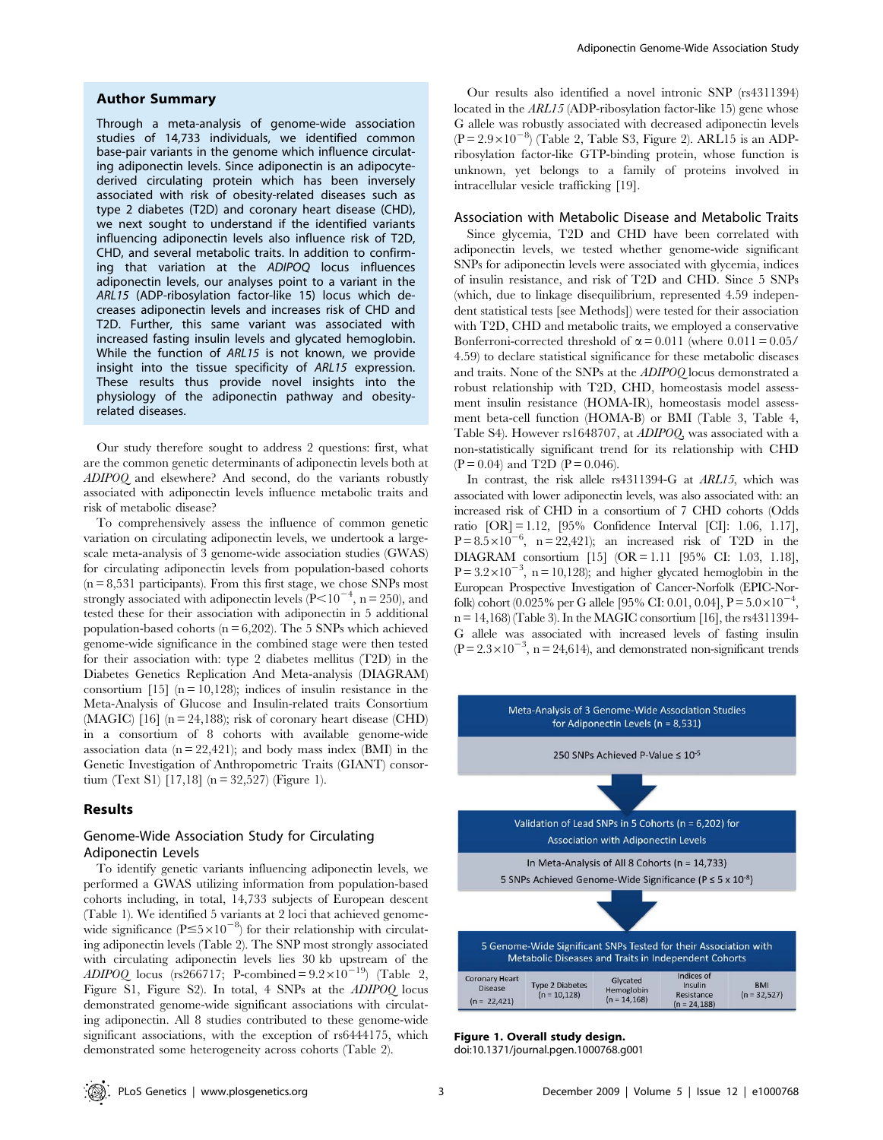## Author Summary

Through a meta-analysis of genome-wide association studies of 14,733 individuals, we identified common base-pair variants in the genome which influence circulating adiponectin levels. Since adiponectin is an adipocytederived circulating protein which has been inversely associated with risk of obesity-related diseases such as type 2 diabetes (T2D) and coronary heart disease (CHD), we next sought to understand if the identified variants influencing adiponectin levels also influence risk of T2D, CHD, and several metabolic traits. In addition to confirming that variation at the ADIPOQ locus influences adiponectin levels, our analyses point to a variant in the ARL15 (ADP-ribosylation factor-like 15) locus which decreases adiponectin levels and increases risk of CHD and T2D. Further, this same variant was associated with increased fasting insulin levels and glycated hemoglobin. While the function of ARL15 is not known, we provide insight into the tissue specificity of ARL15 expression. These results thus provide novel insights into the physiology of the adiponectin pathway and obesityrelated diseases.

Our study therefore sought to address 2 questions: first, what are the common genetic determinants of adiponectin levels both at ADIPOQ and elsewhere? And second, do the variants robustly associated with adiponectin levels influence metabolic traits and risk of metabolic disease?

To comprehensively assess the influence of common genetic variation on circulating adiponectin levels, we undertook a largescale meta-analysis of 3 genome-wide association studies (GWAS) for circulating adiponectin levels from population-based cohorts  $(n = 8,531$  participants). From this first stage, we chose SNPs most strongly associated with adiponectin levels  $(P<10^{-4}$ , n = 250), and tested these for their association with adiponectin in 5 additional population-based cohorts ( $n = 6,202$ ). The 5 SNPs which achieved genome-wide significance in the combined stage were then tested for their association with: type 2 diabetes mellitus (T2D) in the Diabetes Genetics Replication And Meta-analysis (DIAGRAM) consortium  $[15]$  (n = 10,128); indices of insulin resistance in the Meta-Analysis of Glucose and Insulin-related traits Consortium  $(MAGIC)$  [16] (n = 24,188); risk of coronary heart disease (CHD) in a consortium of 8 cohorts with available genome-wide association data  $(n = 22,421)$ ; and body mass index (BMI) in the Genetic Investigation of Anthropometric Traits (GIANT) consortium (Text S1) [17,18] ( $n = 32,527$ ) (Figure 1).

## Results

# Genome-Wide Association Study for Circulating Adiponectin Levels

To identify genetic variants influencing adiponectin levels, we performed a GWAS utilizing information from population-based cohorts including, in total, 14,733 subjects of European descent (Table 1). We identified 5 variants at 2 loci that achieved genomewide significance  $(P \le 5 \times 10^{-8})$  for their relationship with circulating adiponectin levels (Table 2). The SNP most strongly associated with circulating adiponectin levels lies 30 kb upstream of the ADIPOQ locus (rs266717; P-combined =  $9.2 \times 10^{-19}$ ) (Table 2, Figure S1, Figure S2). In total, 4 SNPs at the ADIPOQ locus demonstrated genome-wide significant associations with circulating adiponectin. All 8 studies contributed to these genome-wide significant associations, with the exception of rs6444175, which demonstrated some heterogeneity across cohorts (Table 2).

Our results also identified a novel intronic SNP (rs4311394) located in the ARL15 (ADP-ribosylation factor-like 15) gene whose G allele was robustly associated with decreased adiponectin levels  $(P = 2.9 \times 10^{-8})$  (Table 2, Table S3, Figure 2). ARL15 is an ADPribosylation factor-like GTP-binding protein, whose function is unknown, yet belongs to a family of proteins involved in intracellular vesicle trafficking [19].

## Association with Metabolic Disease and Metabolic Traits

Since glycemia, T2D and CHD have been correlated with adiponectin levels, we tested whether genome-wide significant SNPs for adiponectin levels were associated with glycemia, indices of insulin resistance, and risk of T2D and CHD. Since 5 SNPs (which, due to linkage disequilibrium, represented 4.59 independent statistical tests [see Methods]) were tested for their association with T2D, CHD and metabolic traits, we employed a conservative Bonferroni-corrected threshold of  $\alpha = 0.011$  (where  $0.011 = 0.05$ / 4.59) to declare statistical significance for these metabolic diseases and traits. None of the SNPs at the ADIPOQ locus demonstrated a robust relationship with T2D, CHD, homeostasis model assessment insulin resistance (HOMA-IR), homeostasis model assessment beta-cell function (HOMA-B) or BMI (Table 3, Table 4, Table S4). However rs1648707, at ADIPOQ, was associated with a non-statistically significant trend for its relationship with CHD  $(P = 0.04)$  and T2D  $(P = 0.046)$ .

In contrast, the risk allele rs4311394-G at ARL15, which was associated with lower adiponectin levels, was also associated with: an increased risk of CHD in a consortium of 7 CHD cohorts (Odds ratio [OR] = 1.12, [95% Confidence Interval [CI]: 1.06, 1.17],  $P = 8.5 \times 10^{-6}$ , n = 22,421); an increased risk of T2D in the DIAGRAM consortium [15] (OR = 1.11 [95% CI: 1.03, 1.18],  $P = 3.2 \times 10^{-3}$ , n = 10,128); and higher glycated hemoglobin in the European Prospective Investigation of Cancer-Norfolk (EPIC-Norfolk) cohort (0.025% per G allele [95% CI: 0.01, 0.04],  $P = 5.0 \times 10^{-4}$ ,  $n = 14,168$  (Table 3). In the MAGIC consortium [16], the rs4311394-G allele was associated with increased levels of fasting insulin  $(P = 2.3 \times 10^{-3}$ , n = 24,614), and demonstrated non-significant trends



#### Figure 1. Overall study design.

doi:10.1371/journal.pgen.1000768.g001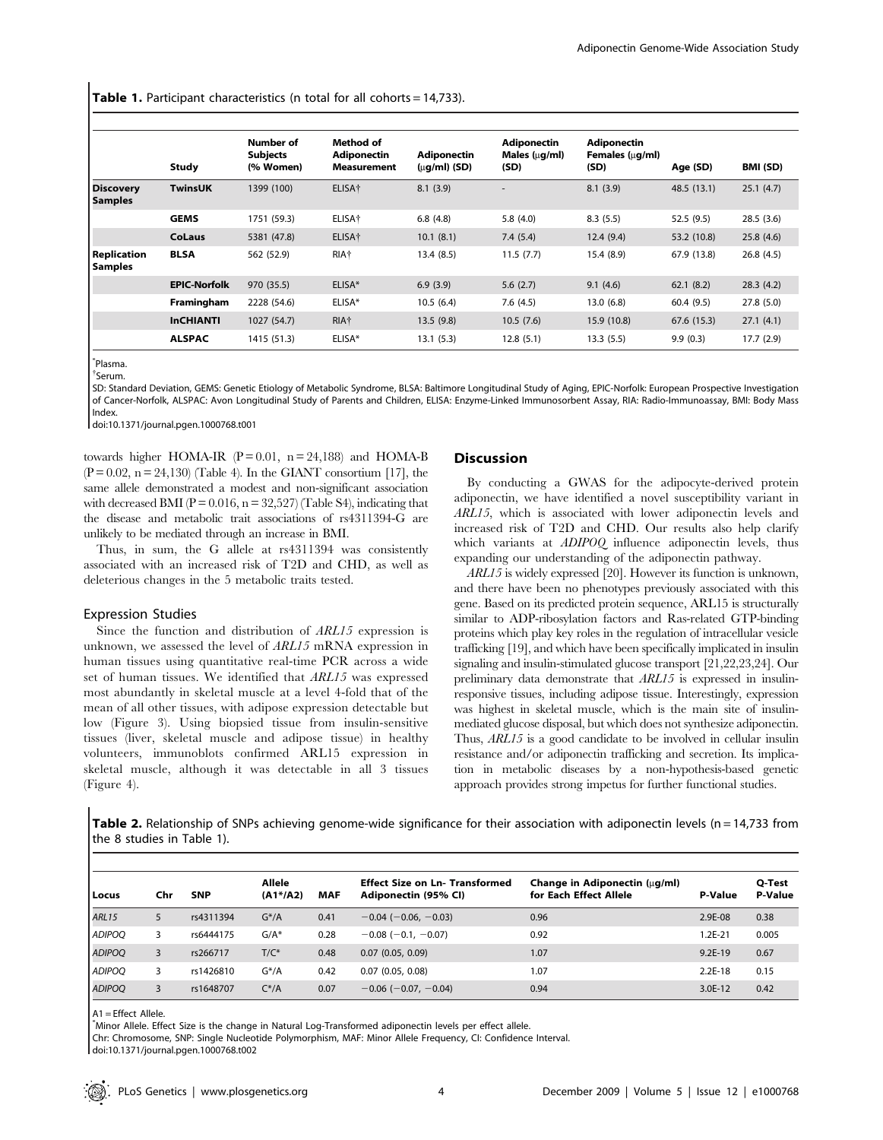Table 1. Participant characteristics (n total for all cohorts = 14,733).

|                                      | <b>Study</b>        | Number of<br><b>Subjects</b><br>(% Women) | Method of<br>Adiponectin<br><b>Measurement</b> | Adiponectin<br>$(\mu g/ml)$ (SD) | <b>Adiponectin</b><br>Males $(\mu q/ml)$<br>(SD) | <b>Adiponectin</b><br>Females (ug/ml)<br>(SD) | Age (SD)    | BMI (SD)  |
|--------------------------------------|---------------------|-------------------------------------------|------------------------------------------------|----------------------------------|--------------------------------------------------|-----------------------------------------------|-------------|-----------|
| <b>Discovery</b><br><b>Samples</b>   | <b>TwinsUK</b>      | 1399 (100)                                | ELISA <sup>+</sup>                             | 8.1(3.9)                         |                                                  | 8.1(3.9)                                      | 48.5 (13.1) | 25.1(4.7) |
|                                      | <b>GEMS</b>         | 1751 (59.3)                               | ELISA <sup>+</sup>                             | 6.8(4.8)                         | 5.8(4.0)                                         | 8.3(5.5)                                      | 52.5(9.5)   | 28.5(3.6) |
|                                      | <b>CoLaus</b>       | 5381 (47.8)                               | <b>ELISA</b> <sup>†</sup>                      | 10.1(8.1)                        | 7.4(5.4)                                         | 12.4(9.4)                                     | 53.2 (10.8) | 25.8(4.6) |
| <b>Replication</b><br><b>Samples</b> | <b>BLSA</b>         | 562 (52.9)                                | RIA <sup>+</sup>                               | 13.4(8.5)                        | 11.5(7.7)                                        | 15.4(8.9)                                     | 67.9 (13.8) | 26.8(4.5) |
|                                      | <b>EPIC-Norfolk</b> | 970 (35.5)                                | ELISA*                                         | 6.9(3.9)                         | 5.6(2.7)                                         | 9.1(4.6)                                      | 62.1(8.2)   | 28.3(4.2) |
|                                      | Framingham          | 2228 (54.6)                               | ELISA*                                         | 10.5(6.4)                        | 7.6(4.5)                                         | 13.0(6.8)                                     | 60.4(9.5)   | 27.8(5.0) |
|                                      | <b>InCHIANTI</b>    | 1027 (54.7)                               | RIA <sup>+</sup>                               | 13.5(9.8)                        | 10.5(7.6)                                        | 15.9 (10.8)                                   | 67.6(15.3)  | 27.1(4.1) |
|                                      | <b>ALSPAC</b>       | 1415 (51.3)                               | ELISA*                                         | 13.1(5.3)                        | 12.8(5.1)                                        | 13.3(5.5)                                     | 9.9(0.3)    | 17.7(2.9) |

\* Plasma.

{ Serum.

SD: Standard Deviation, GEMS: Genetic Etiology of Metabolic Syndrome, BLSA: Baltimore Longitudinal Study of Aging, EPIC-Norfolk: European Prospective Investigation of Cancer-Norfolk, ALSPAC: Avon Longitudinal Study of Parents and Children, ELISA: Enzyme-Linked Immunosorbent Assay, RIA: Radio-Immunoassay, BMI: Body Mass Index.

doi:10.1371/journal.pgen.1000768.t001

towards higher HOMA-IR  $(P = 0.01, n = 24,188)$  and HOMA-B  $(P = 0.02, n = 24,130)$  (Table 4). In the GIANT consortium [17], the same allele demonstrated a modest and non-significant association with decreased BMI ( $P = 0.016$ ,  $n = 32,527$ ) (Table S4), indicating that the disease and metabolic trait associations of rs4311394-G are unlikely to be mediated through an increase in BMI.

Thus, in sum, the G allele at rs4311394 was consistently associated with an increased risk of T2D and CHD, as well as deleterious changes in the 5 metabolic traits tested.

#### Expression Studies

Since the function and distribution of ARL15 expression is unknown, we assessed the level of ARL15 mRNA expression in human tissues using quantitative real-time PCR across a wide set of human tissues. We identified that ARL15 was expressed most abundantly in skeletal muscle at a level 4-fold that of the mean of all other tissues, with adipose expression detectable but low (Figure 3). Using biopsied tissue from insulin-sensitive tissues (liver, skeletal muscle and adipose tissue) in healthy volunteers, immunoblots confirmed ARL15 expression in skeletal muscle, although it was detectable in all 3 tissues (Figure 4).

#### **Discussion**

By conducting a GWAS for the adipocyte-derived protein adiponectin, we have identified a novel susceptibility variant in ARL15, which is associated with lower adiponectin levels and increased risk of T2D and CHD. Our results also help clarify which variants at *ADIPOQ* influence adiponectin levels, thus expanding our understanding of the adiponectin pathway.

ARL15 is widely expressed [20]. However its function is unknown, and there have been no phenotypes previously associated with this gene. Based on its predicted protein sequence, ARL15 is structurally similar to ADP-ribosylation factors and Ras-related GTP-binding proteins which play key roles in the regulation of intracellular vesicle trafficking [19], and which have been specifically implicated in insulin signaling and insulin-stimulated glucose transport [21,22,23,24]. Our preliminary data demonstrate that ARL15 is expressed in insulinresponsive tissues, including adipose tissue. Interestingly, expression was highest in skeletal muscle, which is the main site of insulinmediated glucose disposal, but which does not synthesize adiponectin. Thus, ARL15 is a good candidate to be involved in cellular insulin resistance and/or adiponectin trafficking and secretion. Its implication in metabolic diseases by a non-hypothesis-based genetic approach provides strong impetus for further functional studies.

Table 2. Relationship of SNPs achieving genome-wide significance for their association with adiponectin levels (n = 14,733 from the 8 studies in Table 1).

| Locus         | Chr | <b>SNP</b> | Allele<br>$(A1*/A2)$ | <b>MAF</b> | <b>Effect Size on Ln- Transformed</b><br>Adiponectin (95% CI) | Change in Adiponectin (µg/ml)<br>for Each Effect Allele | P-Value   | <b>Q-Test</b><br>P-Value |
|---------------|-----|------------|----------------------|------------|---------------------------------------------------------------|---------------------------------------------------------|-----------|--------------------------|
| <b>ARL15</b>  | 5   | rs4311394  | $G^*/A$              | 0.41       | $-0.04$ (-0.06, -0.03)                                        | 0.96                                                    | 2.9E-08   | 0.38                     |
| <b>ADIPOQ</b> | 3   | rs6444175  | $G/A^*$              | 0.28       | $-0.08$ ( $-0.1$ , $-0.07$ )                                  | 0.92                                                    | 1.2E-21   | 0.005                    |
| <b>ADIPOQ</b> | 3   | rs266717   | $T/C^*$              | 0.48       | $0.07$ $(0.05, 0.09)$                                         | 1.07                                                    | $9.2E-19$ | 0.67                     |
| <b>ADIPOQ</b> | 3   | rs1426810  | $G^*/A$              | 0.42       | 0.07(0.05, 0.08)                                              | 1.07                                                    | $2.2E-18$ | 0.15                     |
| <b>ADIPOQ</b> | 3   | rs1648707  | $C^*/A$              | 0.07       | $-0.06$ ( $-0.07$ , $-0.04$ )                                 | 0.94                                                    | 3.0E-12   | 0.42                     |

A1 = Effect Allele.

\* Minor Allele. Effect Size is the change in Natural Log-Transformed adiponectin levels per effect allele.

Chr: Chromosome, SNP: Single Nucleotide Polymorphism, MAF: Minor Allele Frequency, CI: Confidence Interval.

doi:10.1371/journal.pgen.1000768.t002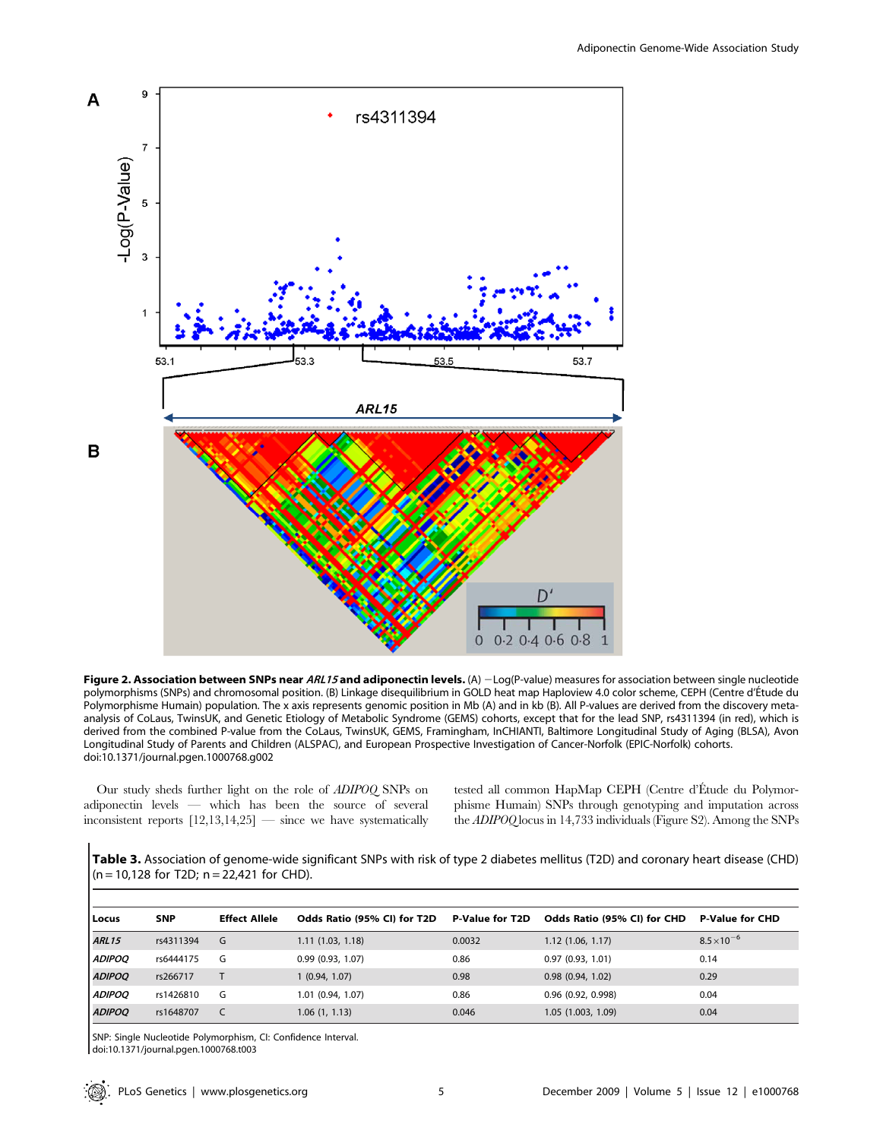

Figure 2. Association between SNPs near ARL15 and adiponectin levels. (A)  $-\text{Log}(P\text{-value})$  measures for association between single nucleotide polymorphisms (SNPs) and chromosomal position. (B) Linkage disequilibrium in GOLD heat map Haploview 4.0 color scheme, CEPH (Centre d'E´tude du Polymorphisme Humain) population. The x axis represents genomic position in Mb (A) and in kb (B). All P-values are derived from the discovery metaanalysis of CoLaus, TwinsUK, and Genetic Etiology of Metabolic Syndrome (GEMS) cohorts, except that for the lead SNP, rs4311394 (in red), which is derived from the combined P-value from the CoLaus, TwinsUK, GEMS, Framingham, InCHIANTI, Baltimore Longitudinal Study of Aging (BLSA), Avon Longitudinal Study of Parents and Children (ALSPAC), and European Prospective Investigation of Cancer-Norfolk (EPIC-Norfolk) cohorts. doi:10.1371/journal.pgen.1000768.g002

Our study sheds further light on the role of ADIPOQ SNPs on adiponectin levels — which has been the source of several inconsistent reports  $[12,13,14,25]$  — since we have systematically tested all common HapMap CEPH (Centre d'Étude du Polymorphisme Humain) SNPs through genotyping and imputation across the ADIPOQ locus in 14,733 individuals (Figure S2). Among the SNPs

Table 3. Association of genome-wide significant SNPs with risk of type 2 diabetes mellitus (T2D) and coronary heart disease (CHD)  $(n = 10, 128$  for T2D;  $n = 22,421$  for CHD).

| Locus         | <b>SNP</b> | <b>Effect Allele</b> | Odds Ratio (95% CI) for T2D | <b>P-Value for T2D</b> | Odds Ratio (95% CI) for CHD | <b>P-Value for CHD</b> |
|---------------|------------|----------------------|-----------------------------|------------------------|-----------------------------|------------------------|
| <b>ARL15</b>  | rs4311394  | G                    | 1.11(1.03, 1.18)            | 0.0032                 | 1.12(1.06, 1.17)            | $8.5 \times 10^{-6}$   |
| <b>ADIPOQ</b> | rs6444175  | G                    | 0.99(0.93, 1.07)            | 0.86                   | 0.97(0.93, 1.01)            | 0.14                   |
| <b>ADIPOQ</b> | rs266717   |                      | 1(0.94, 1.07)               | 0.98                   | $0.98$ $(0.94, 1.02)$       | 0.29                   |
| <b>ADIPOQ</b> | rs1426810  | G                    | 1.01 (0.94, 1.07)           | 0.86                   | $0.96$ (0.92, 0.998)        | 0.04                   |
| <b>ADIPOQ</b> | rs1648707  |                      | 1.06(1, 1.13)               | 0.046                  | 1.05 (1.003, 1.09)          | 0.04                   |

SNP: Single Nucleotide Polymorphism, CI: Confidence Interval.

doi:10.1371/journal.pgen.1000768.t003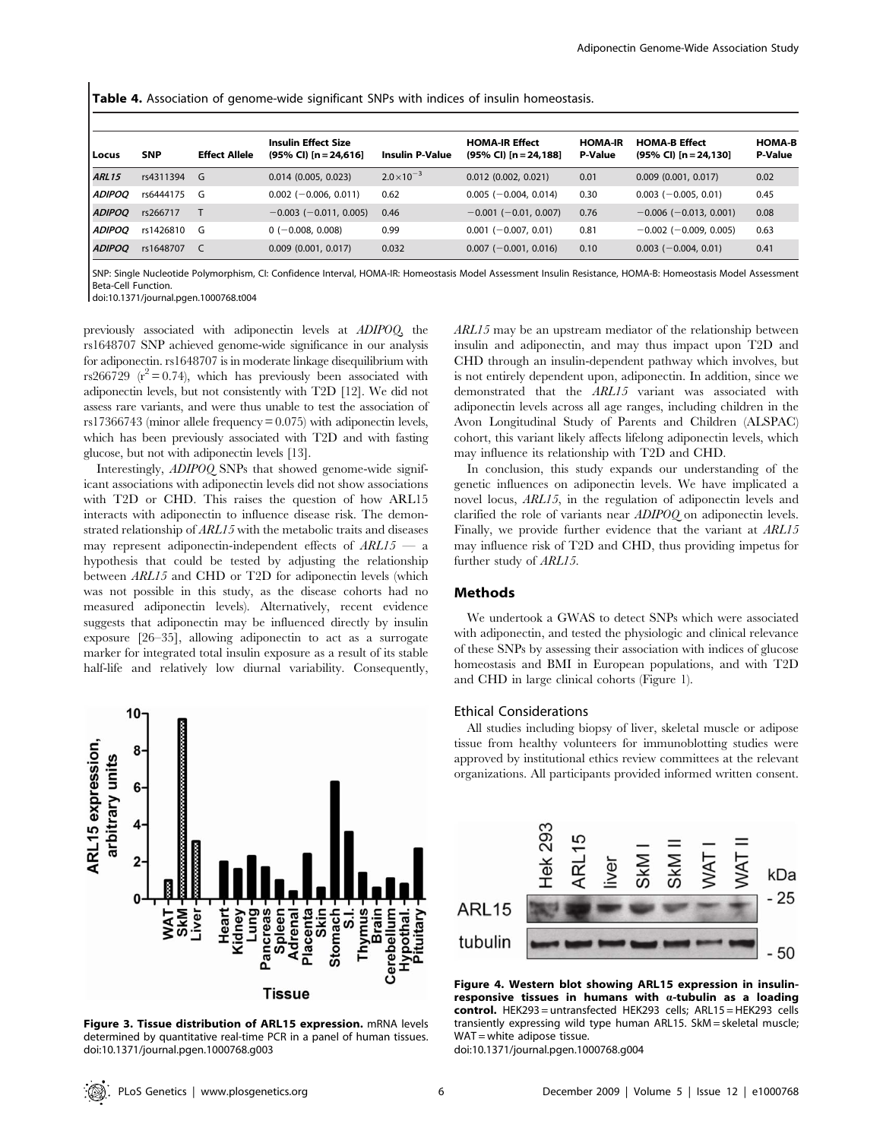Table 4. Association of genome-wide significant SNPs with indices of insulin homeostasis.

| l Locus       | <b>SNP</b>  | <b>Effect Allele</b> | <b>Insulin Effect Size</b><br>$(95\% \text{ Cl})$ [n = 24,616] | <b>Insulin P-Value</b> | <b>HOMA-IR Effect</b><br>$(95\% \text{ Cl})$ [n = 24,188] | <b>HOMA-IR</b><br>P-Value | <b>HOMA-B Effect</b><br>$(95\%$ CI) [n = 24,130] | <b>HOMA-B</b><br>P-Value |
|---------------|-------------|----------------------|----------------------------------------------------------------|------------------------|-----------------------------------------------------------|---------------------------|--------------------------------------------------|--------------------------|
| <b>ARL15</b>  | rs4311394 G |                      | $0.014$ (0.005, 0.023)                                         | $2.0\times10^{-3}$     | $0.012$ (0.002, 0.021)                                    | 0.01                      | $0.009$ (0.001, 0.017)                           | 0.02                     |
| ADIPOO        | rs6444175 G |                      | $0.002$ (-0.006, 0.011)                                        | 0.62                   | $0.005$ (-0.004, 0.014)                                   | 0.30                      | $0.003$ (-0.005, 0.01)                           | 0.45                     |
| <b>ADIPOQ</b> | rs266717    |                      | $-0.003$ ( $-0.011$ , 0.005)                                   | 0.46                   | $-0.001$ ( $-0.01$ , 0.007)                               | 0.76                      | $-0.006$ ( $-0.013$ , 0.001)                     | 0.08                     |
| ADIPOO        | rs1426810 G |                      | $0 (-0.008, 0.008)$                                            | 0.99                   | $0.001$ (-0.007, 0.01)                                    | 0.81                      | $-0.002$ (-0.009, 0.005)                         | 0.63                     |
| <b>ADIPOQ</b> | rs1648707   |                      | $0.009$ (0.001, 0.017)                                         | 0.032                  | $0.007$ (-0.001, 0.016)                                   | 0.10                      | $0.003$ (-0.004, 0.01)                           | 0.41                     |

SNP: Single Nucleotide Polymorphism, CI: Confidence Interval, HOMA-IR: Homeostasis Model Assessment Insulin Resistance, HOMA-B: Homeostasis Model Assessment Beta-Cell Function.

doi:10.1371/journal.pgen.1000768.t004

10

previously associated with adiponectin levels at ADIPOQ, the rs1648707 SNP achieved genome-wide significance in our analysis for adiponectin. rs1648707 is in moderate linkage disequilibrium with rs266729 ( $r^2$ =0.74), which has previously been associated with adiponectin levels, but not consistently with T2D [12]. We did not assess rare variants, and were thus unable to test the association of rs17366743 (minor allele frequency = 0.075) with adiponectin levels, which has been previously associated with T2D and with fasting glucose, but not with adiponectin levels [13].

Interestingly, ADIPOQ SNPs that showed genome-wide significant associations with adiponectin levels did not show associations with T2D or CHD. This raises the question of how ARL15 interacts with adiponectin to influence disease risk. The demonstrated relationship of ARL15 with the metabolic traits and diseases may represent adiponectin-independent effects of  $ARL15$  — a hypothesis that could be tested by adjusting the relationship between ARL15 and CHD or T2D for adiponectin levels (which was not possible in this study, as the disease cohorts had no measured adiponectin levels). Alternatively, recent evidence suggests that adiponectin may be influenced directly by insulin exposure [26–35], allowing adiponectin to act as a surrogate marker for integrated total insulin exposure as a result of its stable half-life and relatively low diurnal variability. Consequently,

insulin and adiponectin, and may thus impact upon T2D and CHD through an insulin-dependent pathway which involves, but is not entirely dependent upon, adiponectin. In addition, since we demonstrated that the ARL15 variant was associated with adiponectin levels across all age ranges, including children in the Avon Longitudinal Study of Parents and Children (ALSPAC) cohort, this variant likely affects lifelong adiponectin levels, which may influence its relationship with T2D and CHD. In conclusion, this study expands our understanding of the

ARL15 may be an upstream mediator of the relationship between

genetic influences on adiponectin levels. We have implicated a novel locus, ARL15, in the regulation of adiponectin levels and clarified the role of variants near ADIPOQ on adiponectin levels. Finally, we provide further evidence that the variant at ARL15 may influence risk of T2D and CHD, thus providing impetus for further study of ARL15.

# Methods

We undertook a GWAS to detect SNPs which were associated with adiponectin, and tested the physiologic and clinical relevance of these SNPs by assessing their association with indices of glucose homeostasis and BMI in European populations, and with T2D and CHD in large clinical cohorts (Figure 1).

# Ethical Considerations

All studies including biopsy of liver, skeletal muscle or adipose tissue from healthy volunteers for immunoblotting studies were approved by institutional ethics review committees at the relevant organizations. All participants provided informed written consent.



Figure 3. Tissue distribution of ARL15 expression. mRNA levels determined by quantitative real-time PCR in a panel of human tissues. doi:10.1371/journal.pgen.1000768.g003



Figure 4. Western blot showing ARL15 expression in insulinresponsive tissues in humans with *a*-tubulin as a loading control. HEK293 = untransfected HEK293 cells; ARL15 = HEK293 cells transiently expressing wild type human ARL15. SkM = skeletal muscle; WAT = white adipose tissue.

doi:10.1371/journal.pgen.1000768.g004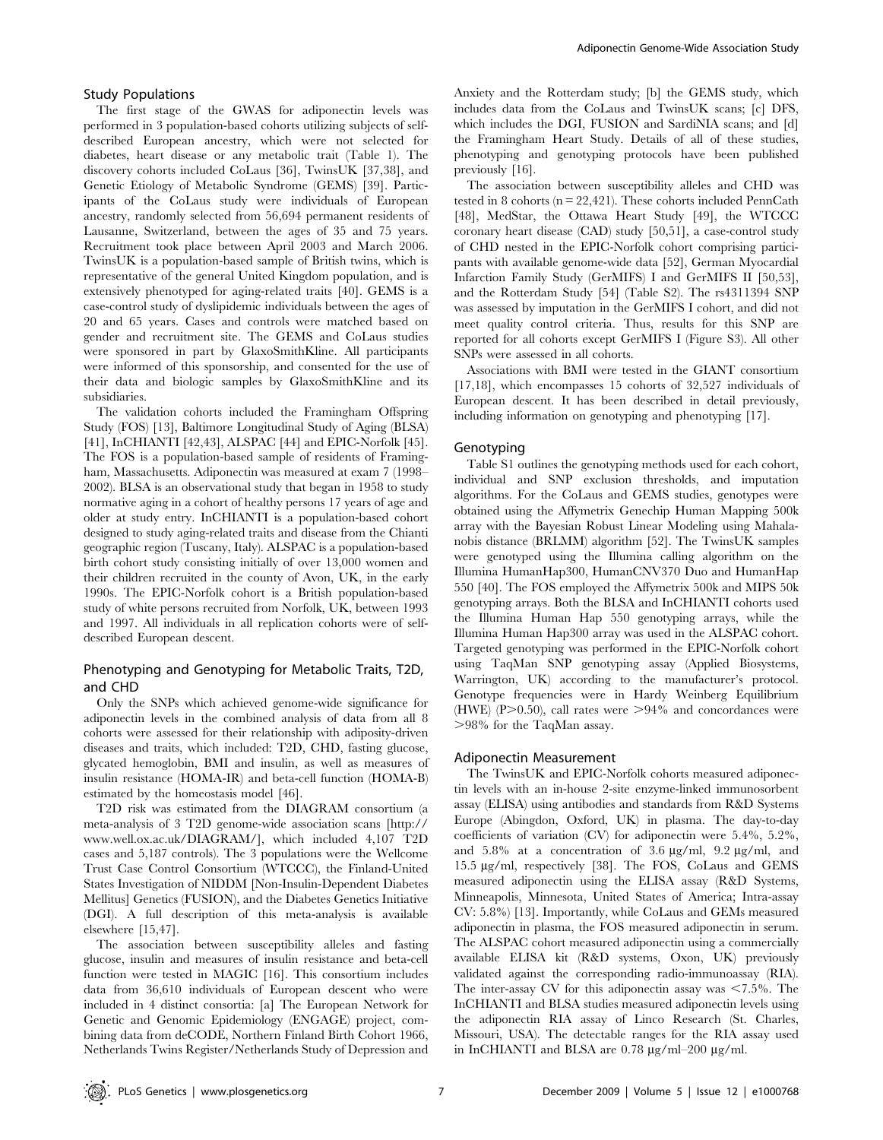### Study Populations

The first stage of the GWAS for adiponectin levels was performed in 3 population-based cohorts utilizing subjects of selfdescribed European ancestry, which were not selected for diabetes, heart disease or any metabolic trait (Table 1). The discovery cohorts included CoLaus [36], TwinsUK [37,38], and Genetic Etiology of Metabolic Syndrome (GEMS) [39]. Participants of the CoLaus study were individuals of European ancestry, randomly selected from 56,694 permanent residents of Lausanne, Switzerland, between the ages of 35 and 75 years. Recruitment took place between April 2003 and March 2006. TwinsUK is a population-based sample of British twins, which is representative of the general United Kingdom population, and is extensively phenotyped for aging-related traits [40]. GEMS is a case-control study of dyslipidemic individuals between the ages of 20 and 65 years. Cases and controls were matched based on gender and recruitment site. The GEMS and CoLaus studies were sponsored in part by GlaxoSmithKline. All participants were informed of this sponsorship, and consented for the use of their data and biologic samples by GlaxoSmithKline and its subsidiaries.

The validation cohorts included the Framingham Offspring Study (FOS) [13], Baltimore Longitudinal Study of Aging (BLSA) [41], InCHIANTI [42,43], ALSPAC [44] and EPIC-Norfolk [45]. The FOS is a population-based sample of residents of Framingham, Massachusetts. Adiponectin was measured at exam 7 (1998– 2002). BLSA is an observational study that began in 1958 to study normative aging in a cohort of healthy persons 17 years of age and older at study entry. InCHIANTI is a population-based cohort designed to study aging-related traits and disease from the Chianti geographic region (Tuscany, Italy). ALSPAC is a population-based birth cohort study consisting initially of over 13,000 women and their children recruited in the county of Avon, UK, in the early 1990s. The EPIC-Norfolk cohort is a British population-based study of white persons recruited from Norfolk, UK, between 1993 and 1997. All individuals in all replication cohorts were of selfdescribed European descent.

# Phenotyping and Genotyping for Metabolic Traits, T2D, and CHD

Only the SNPs which achieved genome-wide significance for adiponectin levels in the combined analysis of data from all 8 cohorts were assessed for their relationship with adiposity-driven diseases and traits, which included: T2D, CHD, fasting glucose, glycated hemoglobin, BMI and insulin, as well as measures of insulin resistance (HOMA-IR) and beta-cell function (HOMA-B) estimated by the homeostasis model [46].

T2D risk was estimated from the DIAGRAM consortium (a meta-analysis of 3 T2D genome-wide association scans [http:// www.well.ox.ac.uk/DIAGRAM/], which included 4,107 T2D cases and 5,187 controls). The 3 populations were the Wellcome Trust Case Control Consortium (WTCCC), the Finland-United States Investigation of NIDDM [Non-Insulin-Dependent Diabetes Mellitus] Genetics (FUSION), and the Diabetes Genetics Initiative (DGI). A full description of this meta-analysis is available elsewhere [15,47].

The association between susceptibility alleles and fasting glucose, insulin and measures of insulin resistance and beta-cell function were tested in MAGIC [16]. This consortium includes data from 36,610 individuals of European descent who were included in 4 distinct consortia: [a] The European Network for Genetic and Genomic Epidemiology (ENGAGE) project, combining data from deCODE, Northern Finland Birth Cohort 1966, Netherlands Twins Register/Netherlands Study of Depression and

Anxiety and the Rotterdam study; [b] the GEMS study, which includes data from the CoLaus and TwinsUK scans; [c] DFS, which includes the DGI, FUSION and SardiNIA scans; and [d] the Framingham Heart Study. Details of all of these studies, phenotyping and genotyping protocols have been published previously [16].

The association between susceptibility alleles and CHD was tested in 8 cohorts ( $n = 22,421$ ). These cohorts included PennCath [48], MedStar, the Ottawa Heart Study [49], the WTCCC coronary heart disease (CAD) study [50,51], a case-control study of CHD nested in the EPIC-Norfolk cohort comprising participants with available genome-wide data [52], German Myocardial Infarction Family Study (GerMIFS) I and GerMIFS II [50,53], and the Rotterdam Study [54] (Table S2). The rs4311394 SNP was assessed by imputation in the GerMIFS I cohort, and did not meet quality control criteria. Thus, results for this SNP are reported for all cohorts except GerMIFS I (Figure S3). All other SNPs were assessed in all cohorts.

Associations with BMI were tested in the GIANT consortium [17,18], which encompasses 15 cohorts of 32,527 individuals of European descent. It has been described in detail previously, including information on genotyping and phenotyping [17].

# Genotyping

Table S1 outlines the genotyping methods used for each cohort, individual and SNP exclusion thresholds, and imputation algorithms. For the CoLaus and GEMS studies, genotypes were obtained using the Affymetrix Genechip Human Mapping 500k array with the Bayesian Robust Linear Modeling using Mahalanobis distance (BRLMM) algorithm [52]. The TwinsUK samples were genotyped using the Illumina calling algorithm on the Illumina HumanHap300, HumanCNV370 Duo and HumanHap 550 [40]. The FOS employed the Affymetrix 500k and MIPS 50k genotyping arrays. Both the BLSA and InCHIANTI cohorts used the Illumina Human Hap 550 genotyping arrays, while the Illumina Human Hap300 array was used in the ALSPAC cohort. Targeted genotyping was performed in the EPIC-Norfolk cohort using TaqMan SNP genotyping assay (Applied Biosystems, Warrington, UK) according to the manufacturer's protocol. Genotype frequencies were in Hardy Weinberg Equilibrium (HWE) (P $> 0.50$ ), call rates were  $> 94\%$  and concordances were .98% for the TaqMan assay.

## Adiponectin Measurement

The TwinsUK and EPIC-Norfolk cohorts measured adiponectin levels with an in-house 2-site enzyme-linked immunosorbent assay (ELISA) using antibodies and standards from R&D Systems Europe (Abingdon, Oxford, UK) in plasma. The day-to-day coefficients of variation (CV) for adiponectin were 5.4%, 5.2%, and  $5.8\%$  at a concentration of  $3.6 \mu g/ml$ ,  $9.2 \mu g/ml$ , and 15.5 mg/ml, respectively [38]. The FOS, CoLaus and GEMS measured adiponectin using the ELISA assay (R&D Systems, Minneapolis, Minnesota, United States of America; Intra-assay CV: 5.8%) [13]. Importantly, while CoLaus and GEMs measured adiponectin in plasma, the FOS measured adiponectin in serum. The ALSPAC cohort measured adiponectin using a commercially available ELISA kit (R&D systems, Oxon, UK) previously validated against the corresponding radio-immunoassay (RIA). The inter-assay CV for this adiponectin assay was  $<7.5\%$ . The InCHIANTI and BLSA studies measured adiponectin levels using the adiponectin RIA assay of Linco Research (St. Charles, Missouri, USA). The detectable ranges for the RIA assay used in InCHIANTI and BLSA are  $0.78 \mu g/ml-200 \mu g/ml$ .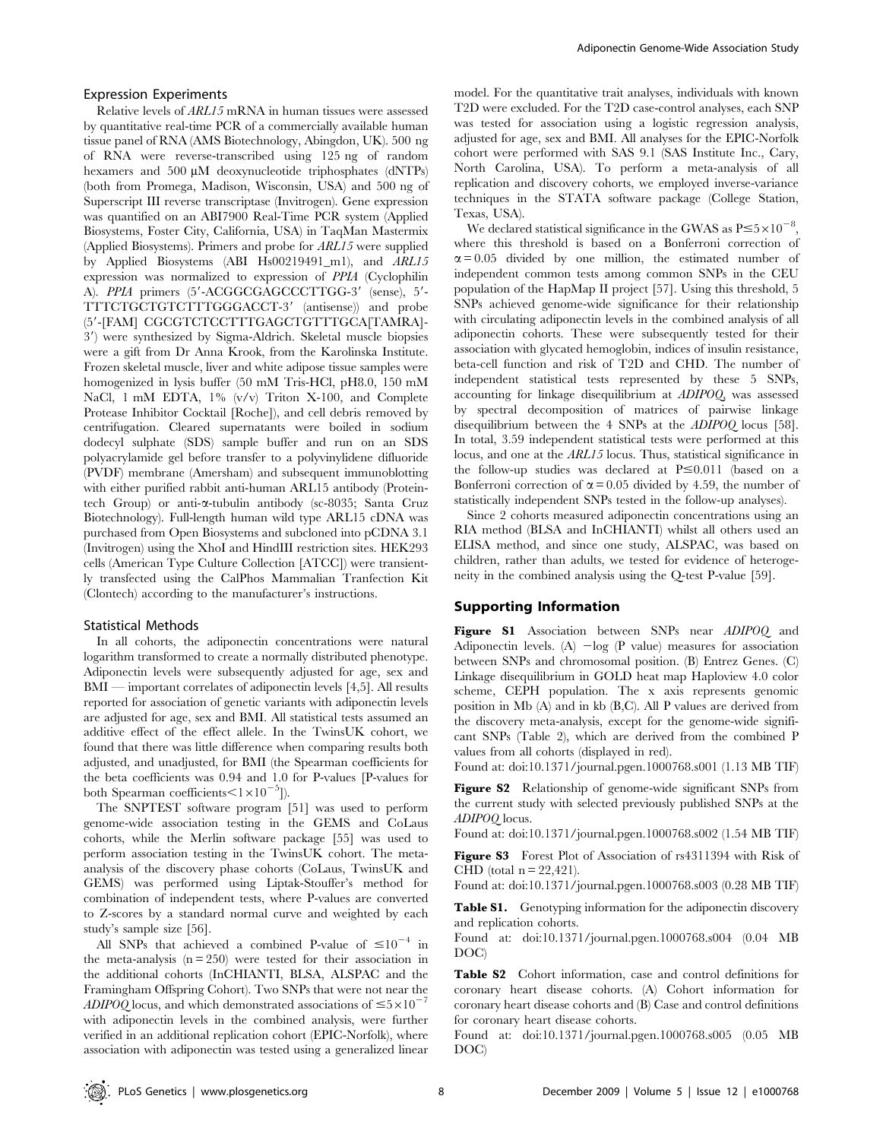#### Expression Experiments

Relative levels of ARL15 mRNA in human tissues were assessed by quantitative real-time PCR of a commercially available human tissue panel of RNA (AMS Biotechnology, Abingdon, UK). 500 ng of RNA were reverse-transcribed using 125 ng of random hexamers and 500  $\mu$ M deoxynucleotide triphosphates (dNTPs) (both from Promega, Madison, Wisconsin, USA) and 500 ng of Superscript III reverse transcriptase (Invitrogen). Gene expression was quantified on an ABI7900 Real-Time PCR system (Applied Biosystems, Foster City, California, USA) in TaqMan Mastermix (Applied Biosystems). Primers and probe for ARL15 were supplied by Applied Biosystems (ABI Hs00219491\_m1), and ARL15 expression was normalized to expression of PPIA (Cyclophilin A). PPIA primers (5'-ACGGCGAGCCCTTGG-3' (sense), 5'-TTTCTGCTGTCTTTGGGACCT-3' (antisense)) and probe (5'-[FAM] CGCGTCTCCTTTGAGCTGTTTGCA[TAMRA]-3') were synthesized by Sigma-Aldrich. Skeletal muscle biopsies were a gift from Dr Anna Krook, from the Karolinska Institute. Frozen skeletal muscle, liver and white adipose tissue samples were homogenized in lysis buffer (50 mM Tris-HCl, pH8.0, 150 mM NaCl, 1 mM EDTA, 1% (v/v) Triton X-100, and Complete Protease Inhibitor Cocktail [Roche]), and cell debris removed by centrifugation. Cleared supernatants were boiled in sodium dodecyl sulphate (SDS) sample buffer and run on an SDS polyacrylamide gel before transfer to a polyvinylidene difluoride (PVDF) membrane (Amersham) and subsequent immunoblotting with either purified rabbit anti-human ARL15 antibody (Proteintech Group) or anti-a-tubulin antibody (sc-8035; Santa Cruz Biotechnology). Full-length human wild type ARL15 cDNA was purchased from Open Biosystems and subcloned into pCDNA 3.1 (Invitrogen) using the XhoI and HindIII restriction sites. HEK293 cells (American Type Culture Collection [ATCC]) were transiently transfected using the CalPhos Mammalian Tranfection Kit (Clontech) according to the manufacturer's instructions.

### Statistical Methods

In all cohorts, the adiponectin concentrations were natural logarithm transformed to create a normally distributed phenotype. Adiponectin levels were subsequently adjusted for age, sex and BMI — important correlates of adiponectin levels [4,5]. All results reported for association of genetic variants with adiponectin levels are adjusted for age, sex and BMI. All statistical tests assumed an additive effect of the effect allele. In the TwinsUK cohort, we found that there was little difference when comparing results both adjusted, and unadjusted, for BMI (the Spearman coefficients for the beta coefficients was 0.94 and 1.0 for P-values [P-values for both Spearman coefficients $\leq$ 1 $\times$ 10<sup>-5</sup>]).

The SNPTEST software program [51] was used to perform genome-wide association testing in the GEMS and CoLaus cohorts, while the Merlin software package [55] was used to perform association testing in the TwinsUK cohort. The metaanalysis of the discovery phase cohorts (CoLaus, TwinsUK and GEMS) was performed using Liptak-Stouffer's method for combination of independent tests, where P-values are converted to Z-scores by a standard normal curve and weighted by each study's sample size [56].

All SNPs that achieved a combined P-value of  $\leq 10^{-4}$  in the meta-analysis  $(n = 250)$  were tested for their association in the additional cohorts (InCHIANTI, BLSA, ALSPAC and the Framingham Offspring Cohort). Two SNPs that were not near the ADIPOQ locus, and which demonstrated associations of  $\leq 5 \times 10^{-7}$ with adiponectin levels in the combined analysis, were further verified in an additional replication cohort (EPIC-Norfolk), where association with adiponectin was tested using a generalized linear

model. For the quantitative trait analyses, individuals with known T2D were excluded. For the T2D case-control analyses, each SNP was tested for association using a logistic regression analysis, adjusted for age, sex and BMI. All analyses for the EPIC-Norfolk cohort were performed with SAS 9.1 (SAS Institute Inc., Cary, North Carolina, USA). To perform a meta-analysis of all replication and discovery cohorts, we employed inverse-variance techniques in the STATA software package (College Station, Texas, USA).

We declared statistical significance in the GWAS as  $P \le 5 \times 10^{-8}$ , where this threshold is based on a Bonferroni correction of  $\alpha$  = 0.05 divided by one million, the estimated number of independent common tests among common SNPs in the CEU population of the HapMap II project [57]. Using this threshold, 5 SNPs achieved genome-wide significance for their relationship with circulating adiponectin levels in the combined analysis of all adiponectin cohorts. These were subsequently tested for their association with glycated hemoglobin, indices of insulin resistance, beta-cell function and risk of T2D and CHD. The number of independent statistical tests represented by these 5 SNPs, accounting for linkage disequilibrium at ADIPOQ, was assessed by spectral decomposition of matrices of pairwise linkage disequilibrium between the 4 SNPs at the ADIPOQ locus [58]. In total, 3.59 independent statistical tests were performed at this locus, and one at the ARL15 locus. Thus, statistical significance in the follow-up studies was declared at  $P \le 0.011$  (based on a Bonferroni correction of  $\alpha$  = 0.05 divided by 4.59, the number of statistically independent SNPs tested in the follow-up analyses).

Since 2 cohorts measured adiponectin concentrations using an RIA method (BLSA and InCHIANTI) whilst all others used an ELISA method, and since one study, ALSPAC, was based on children, rather than adults, we tested for evidence of heterogeneity in the combined analysis using the Q-test P-value [59].

### Supporting Information

Figure S1 Association between SNPs near ADIPOQ and Adiponectin levels. (A)  $-\log(P)$  value) measures for association between SNPs and chromosomal position. (B) Entrez Genes. (C) Linkage disequilibrium in GOLD heat map Haploview 4.0 color scheme, CEPH population. The x axis represents genomic position in Mb (A) and in kb (B,C). All P values are derived from the discovery meta-analysis, except for the genome-wide significant SNPs (Table 2), which are derived from the combined P values from all cohorts (displayed in red).

Found at: doi:10.1371/journal.pgen.1000768.s001 (1.13 MB TIF)

Figure S2 Relationship of genome-wide significant SNPs from the current study with selected previously published SNPs at the ADIPOQ locus.

Found at: doi:10.1371/journal.pgen.1000768.s002 (1.54 MB TIF)

Figure S3 Forest Plot of Association of rs4311394 with Risk of CHD (total  $n = 22,421$ ).

Found at: doi:10.1371/journal.pgen.1000768.s003 (0.28 MB TIF)

**Table S1.** Genotyping information for the adiponectin discovery and replication cohorts.

Found at: doi:10.1371/journal.pgen.1000768.s004 (0.04 MB DOC)

Table S2 Cohort information, case and control definitions for coronary heart disease cohorts. (A) Cohort information for coronary heart disease cohorts and (B) Case and control definitions for coronary heart disease cohorts.

Found at: doi:10.1371/journal.pgen.1000768.s005 (0.05 MB DOC)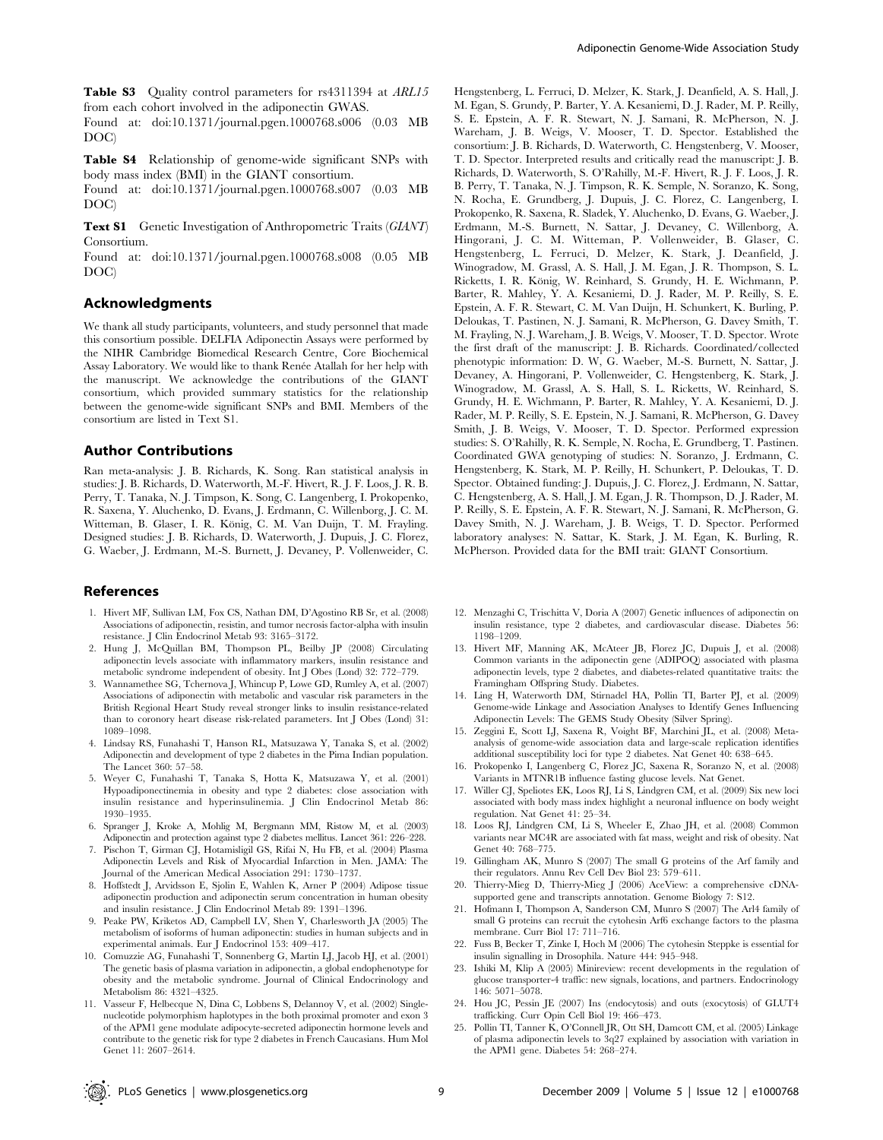Table S3 Quality control parameters for rs4311394 at ARL15 from each cohort involved in the adiponectin GWAS.

Found at: doi:10.1371/journal.pgen.1000768.s006 (0.03 MB DOC)

Table S4 Relationship of genome-wide significant SNPs with body mass index (BMI) in the GIANT consortium.

Found at: doi:10.1371/journal.pgen.1000768.s007 (0.03 MB DOC)

Text S1 Genetic Investigation of Anthropometric Traits (GIANT) Consortium.

Found at: doi:10.1371/journal.pgen.1000768.s008 (0.05 MB DOC)

### Acknowledgments

We thank all study participants, volunteers, and study personnel that made this consortium possible. DELFIA Adiponectin Assays were performed by the NIHR Cambridge Biomedical Research Centre, Core Biochemical Assay Laboratory. We would like to thank Renée Atallah for her help with the manuscript. We acknowledge the contributions of the GIANT consortium, which provided summary statistics for the relationship between the genome-wide significant SNPs and BMI. Members of the consortium are listed in Text S1.

## Author Contributions

Ran meta-analysis: J. B. Richards, K. Song. Ran statistical analysis in studies: J. B. Richards, D. Waterworth, M.-F. Hivert, R. J. F. Loos, J. R. B. Perry, T. Tanaka, N. J. Timpson, K. Song, C. Langenberg, I. Prokopenko, R. Saxena, Y. Aluchenko, D. Evans, J. Erdmann, C. Willenborg, J. C. M. Witteman, B. Glaser, I. R. König, C. M. Van Duijn, T. M. Frayling. Designed studies: J. B. Richards, D. Waterworth, J. Dupuis, J. C. Florez, G. Waeber, J. Erdmann, M.-S. Burnett, J. Devaney, P. Vollenweider, C.

### References

- 1. Hivert MF, Sullivan LM, Fox CS, Nathan DM, D'Agostino RB Sr, et al. (2008) Associations of adiponectin, resistin, and tumor necrosis factor-alpha with insulin resistance. J Clin Endocrinol Metab 93: 3165–3172.
- 2. Hung J, McQuillan BM, Thompson PL, Beilby JP (2008) Circulating adiponectin levels associate with inflammatory markers, insulin resistance and metabolic syndrome independent of obesity. Int J Obes (Lond) 32: 772–779.
- 3. Wannamethee SG, Tchernova J, Whincup P, Lowe GD, Rumley A, et al. (2007) Associations of adiponectin with metabolic and vascular risk parameters in the British Regional Heart Study reveal stronger links to insulin resistance-related than to coronory heart disease risk-related parameters. Int J Obes (Lond) 31: 1089–1098.
- 4. Lindsay RS, Funahashi T, Hanson RL, Matsuzawa Y, Tanaka S, et al. (2002) Adiponectin and development of type 2 diabetes in the Pima Indian population. The Lancet 360: 57–58.
- 5. Weyer C, Funahashi T, Tanaka S, Hotta K, Matsuzawa Y, et al. (2001) Hypoadiponectinemia in obesity and type 2 diabetes: close association with insulin resistance and hyperinsulinemia. J Clin Endocrinol Metab 86: 1930–1935.
- 6. Spranger J, Kroke A, Mohlig M, Bergmann MM, Ristow M, et al. (2003) Adiponectin and protection against type 2 diabetes mellitus. Lancet 361: 226–228.
- 7. Pischon T, Girman CJ, Hotamisligil GS, Rifai N, Hu FB, et al. (2004) Plasma Adiponectin Levels and Risk of Myocardial Infarction in Men. JAMA: The Journal of the American Medical Association 291: 1730–1737.
- 8. Hoffstedt J, Arvidsson E, Sjolin E, Wahlen K, Arner P (2004) Adipose tissue adiponectin production and adiponectin serum concentration in human obesity and insulin resistance. J Clin Endocrinol Metab 89: 1391–1396.
- 9. Peake PW, Kriketos AD, Campbell LV, Shen Y, Charlesworth JA (2005) The metabolism of isoforms of human adiponectin: studies in human subjects and in experimental animals. Eur J Endocrinol 153: 409–417.
- 10. Comuzzie AG, Funahashi T, Sonnenberg G, Martin LJ, Jacob HJ, et al. (2001) The genetic basis of plasma variation in adiponectin, a global endophenotype for obesity and the metabolic syndrome. Journal of Clinical Endocrinology and Metabolism 86: 4321–4325.
- 11. Vasseur F, Helbecque N, Dina C, Lobbens S, Delannoy V, et al. (2002) Singlenucleotide polymorphism haplotypes in the both proximal promoter and exon 3 of the APM1 gene modulate adipocyte-secreted adiponectin hormone levels and contribute to the genetic risk for type 2 diabetes in French Caucasians. Hum Mol Genet 11: 2607–2614.

Hengstenberg, L. Ferruci, D. Melzer, K. Stark, J. Deanfield, A. S. Hall, J. M. Egan, S. Grundy, P. Barter, Y. A. Kesaniemi, D. J. Rader, M. P. Reilly, S. E. Epstein, A. F. R. Stewart, N. J. Samani, R. McPherson, N. J. Wareham, J. B. Weigs, V. Mooser, T. D. Spector. Established the consortium: J. B. Richards, D. Waterworth, C. Hengstenberg, V. Mooser, T. D. Spector. Interpreted results and critically read the manuscript: J. B. Richards, D. Waterworth, S. O'Rahilly, M.-F. Hivert, R. J. F. Loos, J. R. B. Perry, T. Tanaka, N. J. Timpson, R. K. Semple, N. Soranzo, K. Song, N. Rocha, E. Grundberg, J. Dupuis, J. C. Florez, C. Langenberg, I. Prokopenko, R. Saxena, R. Sladek, Y. Aluchenko, D. Evans, G. Waeber, J. Erdmann, M.-S. Burnett, N. Sattar, J. Devaney, C. Willenborg, A. Hingorani, J. C. M. Witteman, P. Vollenweider, B. Glaser, C. Hengstenberg, L. Ferruci, D. Melzer, K. Stark, J. Deanfield, J. Winogradow, M. Grassl, A. S. Hall, J. M. Egan, J. R. Thompson, S. L. Ricketts, I. R. König, W. Reinhard, S. Grundy, H. E. Wichmann, P. Barter, R. Mahley, Y. A. Kesaniemi, D. J. Rader, M. P. Reilly, S. E. Epstein, A. F. R. Stewart, C. M. Van Duijn, H. Schunkert, K. Burling, P. Deloukas, T. Pastinen, N. J. Samani, R. McPherson, G. Davey Smith, T. M. Frayling, N. J. Wareham, J. B. Weigs, V. Mooser, T. D. Spector. Wrote the first draft of the manuscript: J. B. Richards. Coordinated/collected phenotypic information: D. W, G. Waeber, M.-S. Burnett, N. Sattar, J. Devaney, A. Hingorani, P. Vollenweider, C. Hengstenberg, K. Stark, J. Winogradow, M. Grassl, A. S. Hall, S. L. Ricketts, W. Reinhard, S. Grundy, H. E. Wichmann, P. Barter, R. Mahley, Y. A. Kesaniemi, D. J. Rader, M. P. Reilly, S. E. Epstein, N. J. Samani, R. McPherson, G. Davey Smith, J. B. Weigs, V. Mooser, T. D. Spector. Performed expression studies: S. O'Rahilly, R. K. Semple, N. Rocha, E. Grundberg, T. Pastinen. Coordinated GWA genotyping of studies: N. Soranzo, J. Erdmann, C. Hengstenberg, K. Stark, M. P. Reilly, H. Schunkert, P. Deloukas, T. D. Spector. Obtained funding: J. Dupuis, J. C. Florez, J. Erdmann, N. Sattar, C. Hengstenberg, A. S. Hall, J. M. Egan, J. R. Thompson, D. J. Rader, M. P. Reilly, S. E. Epstein, A. F. R. Stewart, N. J. Samani, R. McPherson, G. Davey Smith, N. J. Wareham, J. B. Weigs, T. D. Spector. Performed laboratory analyses: N. Sattar, K. Stark, J. M. Egan, K. Burling, R. McPherson. Provided data for the BMI trait: GIANT Consortium.

- 12. Menzaghi C, Trischitta V, Doria A (2007) Genetic influences of adiponectin on insulin resistance, type 2 diabetes, and cardiovascular disease. Diabetes 56: 1198–1209.
- 13. Hivert MF, Manning AK, McAteer JB, Florez JC, Dupuis J, et al. (2008) Common variants in the adiponectin gene (ADIPOQ) associated with plasma adiponectin levels, type 2 diabetes, and diabetes-related quantitative traits: the Framingham Offspring Study. Diabetes.
- 14. Ling H, Waterworth DM, Stirnadel HA, Pollin TI, Barter PJ, et al. (2009) Genome-wide Linkage and Association Analyses to Identify Genes Influencing Adiponectin Levels: The GEMS Study Obesity (Silver Spring).
- 15. Zeggini E, Scott LJ, Saxena R, Voight BF, Marchini JL, et al. (2008) Metaanalysis of genome-wide association data and large-scale replication identifies additional susceptibility loci for type 2 diabetes. Nat Genet 40: 638–645.
- 16. Prokopenko I, Langenberg C, Florez JC, Saxena R, Soranzo N, et al. (2008) Variants in MTNR1B influence fasting glucose levels. Nat Genet.
- 17. Willer CJ, Speliotes EK, Loos RJ, Li S, Lindgren CM, et al. (2009) Six new loci associated with body mass index highlight a neuronal influence on body weight regulation. Nat Genet 41: 25–34.
- 18. Loos RJ, Lindgren CM, Li S, Wheeler E, Zhao JH, et al. (2008) Common variants near MC4R are associated with fat mass, weight and risk of obesity. Nat Genet 40: 768–775.
- 19. Gillingham AK, Munro S (2007) The small G proteins of the Arf family and their regulators. Annu Rev Cell Dev Biol 23: 579–611.
- 20. Thierry-Mieg D, Thierry-Mieg J (2006) AceView: a comprehensive cDNAsupported gene and transcripts annotation. Genome Biology 7: S12.
- 21. Hofmann I, Thompson A, Sanderson CM, Munro S (2007) The Arl4 family of small G proteins can recruit the cytohesin Arf6 exchange factors to the plasma membrane. Curr Biol 17: 711–716.
- 22. Fuss B, Becker T, Zinke I, Hoch M (2006) The cytohesin Steppke is essential for insulin signalling in Drosophila. Nature 444: 945–948.
- 23. Ishiki M, Klip A (2005) Minireview: recent developments in the regulation of glucose transporter-4 traffic: new signals, locations, and partners. Endocrinology 146: 5071–5078.
- 24. Hou JC, Pessin JE (2007) Ins (endocytosis) and outs (exocytosis) of GLUT4 trafficking. Curr Opin Cell Biol 19: 466–473.
- 25. Pollin TI, Tanner K, O'Connell JR, Ott SH, Damcott CM, et al. (2005) Linkage of plasma adiponectin levels to 3q27 explained by association with variation in the APM1 gene. Diabetes 54: 268–274.